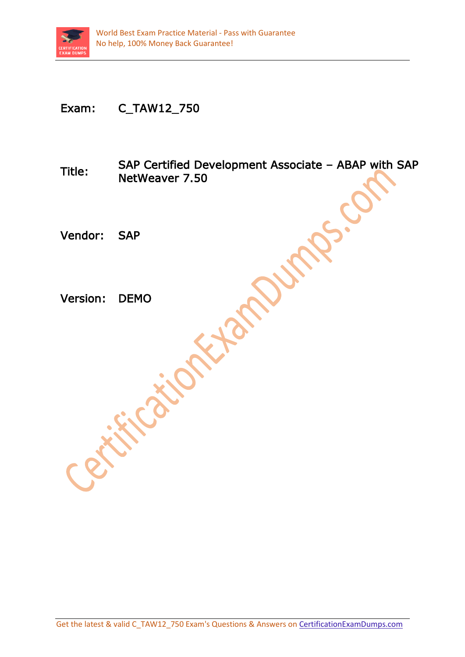

## Exam: C\_TAW12\_750

Title: SAP Certified Development Associate – ABAP with SAP NetWeaver 7.50

Vendor: SAP

Version: DEMO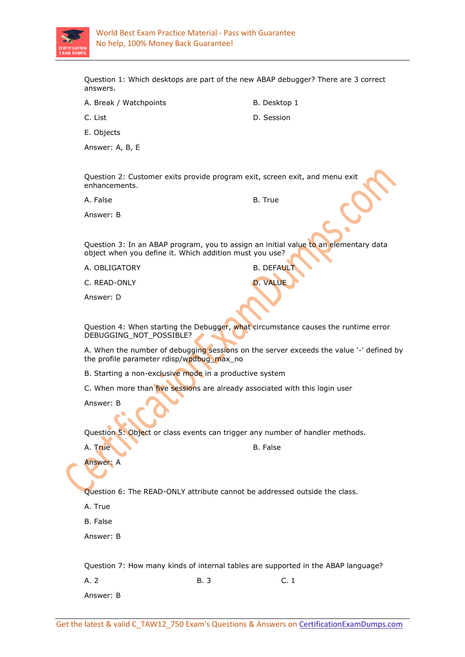

Question 1: Which desktops are part of the new ABAP debugger? There are 3 correct answers.

A. Break / Watchpoints B. Desktop 1

C. List D. Session

E. Objects

Answer: A, B, E

Question 2: Customer exits provide program exit, screen exit, and menu exit enhancements.

A. False B. True

Answer: B

Question 3: In an ABAP program, you to assign an initial value to an elementary data object when you define it. Which addition must you use?

A. OBLIGATORY B. DEFAULT

C. READ-ONLY D. VALUE

Answer: D

Question 4: When starting the Debugger, what circumstance causes the runtime error DEBUGGING\_NOT\_POSSIBLE?

A. When the number of debugging sessions on the server exceeds the value '-' defined by the profile parameter rdisp/wpdbug\_max\_no

B. Starting a non-exclusive mode in a productive system

C. When more than *five sessions* are already associated with this login user

Answer: B

Question 5: Object or class events can trigger any number of handler methods.

A. True B. False

Answer: A

Question 6: The READ-ONLY attribute cannot be addressed outside the class.

A. True

B. False

Answer: B

Question 7: How many kinds of internal tables are supported in the ABAP language?

A. 2 B. 3 C. 1 Answer: B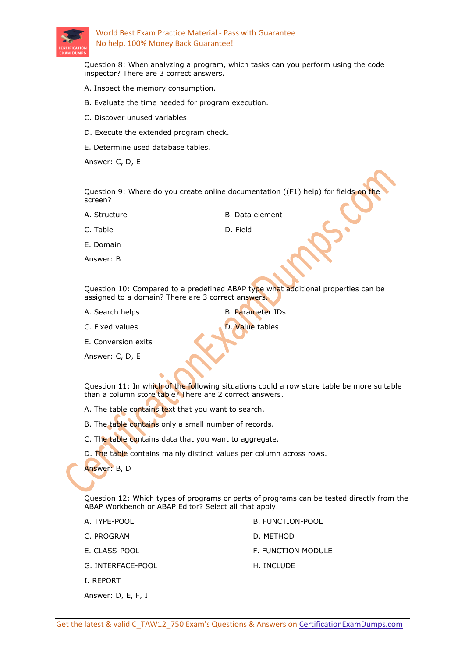

Question 8: When analyzing a program, which tasks can you perform using the code inspector? There are 3 correct answers.

- A. Inspect the memory consumption.
- B. Evaluate the time needed for program execution.
- C. Discover unused variables.
- D. Execute the extended program check.
- E. Determine used database tables.

Answer: C, D, E

Question 9: Where do you create online documentation ((F1) help) for fields on the screen?

A. Structure **B. Data element** 

C. Table D. Field

E. Domain

Answer: B

Question 10: Compared to a predefined ABAP type what additional properties can be assigned to a domain? There are 3 correct answers.

A. Search helps B. Parameter IDs

C. Fixed values **D. Value tables** 

E. Conversion exits

Answer: C, D, E

Question 11: In which of the following situations could a row store table be more suitable than a column store table? There are 2 correct answers.

A. The table contains text that you want to search.

B. The table contains only a small number of records.

- C. The table contains data that you want to aggregate.
- D. The table contains mainly distinct values per column across rows.

Answer: B, D

Question 12: Which types of programs or parts of programs can be tested directly from the ABAP Workbench or ABAP Editor? Select all that apply.

| A. TYPE-POOL      | B. FUNCTION-POOL   |
|-------------------|--------------------|
| C. PROGRAM        | D. METHOD          |
| E. CLASS-POOL     | F. FUNCTION MODULE |
| G. INTERFACE-POOL | H. INCLUDE         |
| I. REPORT         |                    |

Answer: D, E, F, I